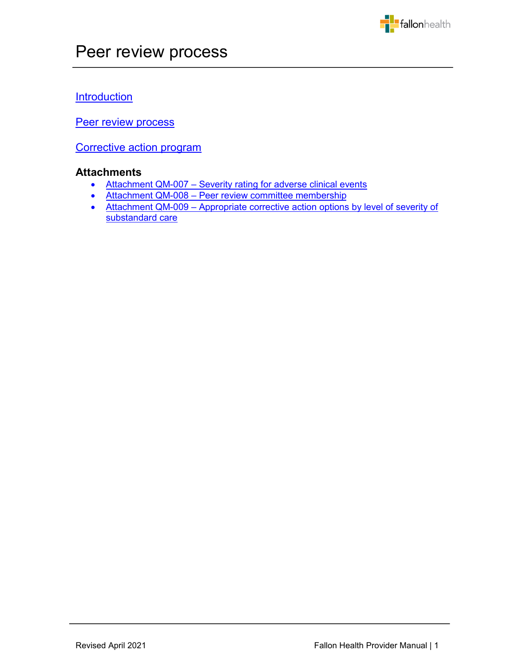

# **Introduction**

Peer review process

[Corrective action program](#page-7-0) 

# **Attachments**

- Attachment QM-007 [Severity rating for adverse clinical events](#page-10-0)
- Attachment QM-008 [Peer review committee membership](#page-11-0)
- Attachment QM-009 Appropriate corrective action options by level of severity of substandard care

j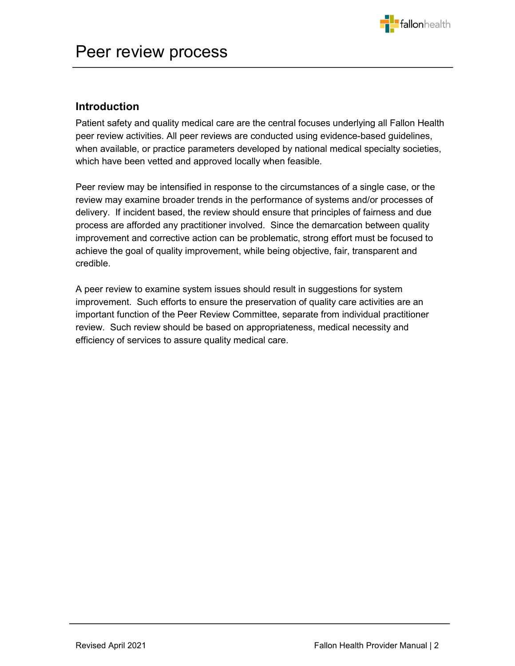

# <span id="page-1-0"></span>**Introduction**

Patient safety and quality medical care are the central focuses underlying all Fallon Health peer review activities. All peer reviews are conducted using evidence-based guidelines, when available, or practice parameters developed by national medical specialty societies, which have been vetted and approved locally when feasible.

Peer review may be intensified in response to the circumstances of a single case, or the review may examine broader trends in the performance of systems and/or processes of delivery. If incident based, the review should ensure that principles of fairness and due process are afforded any practitioner involved. Since the demarcation between quality improvement and corrective action can be problematic, strong effort must be focused to achieve the goal of quality improvement, while being objective, fair, transparent and credible.

A peer review to examine system issues should result in suggestions for system improvement. Such efforts to ensure the preservation of quality care activities are an important function of the Peer Review Committee, separate from individual practitioner review. Such review should be based on appropriateness, medical necessity and efficiency of services to assure quality medical care.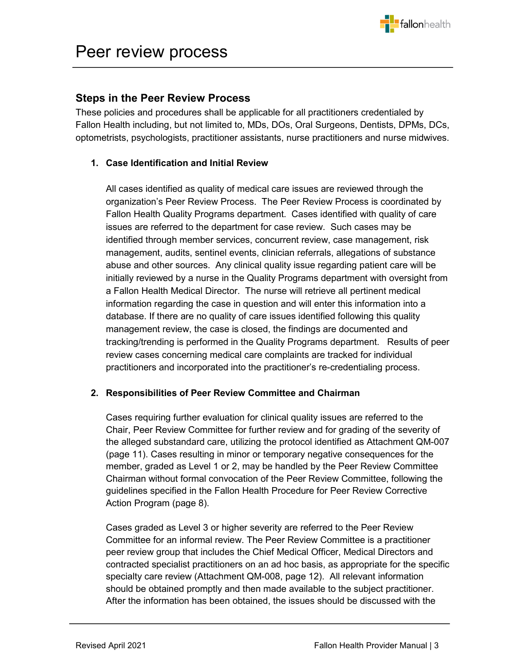

# <span id="page-2-0"></span>**Steps in the Peer Review Process**

These policies and procedures shall be applicable for all practitioners credentialed by Fallon Health including, but not limited to, MDs, DOs, Oral Surgeons, Dentists, DPMs, DCs, optometrists, psychologists, practitioner assistants, nurse practitioners and nurse midwives.

# **1. Case Identification and Initial Review**

All cases identified as quality of medical care issues are reviewed through the organization's Peer Review Process. The Peer Review Process is coordinated by Fallon Health Quality Programs department. Cases identified with quality of care issues are referred to the department for case review. Such cases may be identified through member services, concurrent review, case management, risk management, audits, sentinel events, clinician referrals, allegations of substance abuse and other sources. Any clinical quality issue regarding patient care will be initially reviewed by a nurse in the Quality Programs department with oversight from a Fallon Health Medical Director. The nurse will retrieve all pertinent medical information regarding the case in question and will enter this information into a database. If there are no quality of care issues identified following this quality management review, the case is closed, the findings are documented and tracking/trending is performed in the Quality Programs department. Results of peer review cases concerning medical care complaints are tracked for individual practitioners and incorporated into the practitioner's re-credentialing process.

# **2. Responsibilities of Peer Review Committee and Chairman**

Cases requiring further evaluation for clinical quality issues are referred to the Chair, Peer Review Committee for further review and for grading of the severity of the alleged substandard care, utilizing the protocol identified as Attachment QM-007 (page 11). Cases resulting in minor or temporary negative consequences for the member, graded as Level 1 or 2, may be handled by the Peer Review Committee Chairman without formal convocation of the Peer Review Committee, following the guidelines specified in the Fallon Health Procedure for Peer Review Corrective Action Program (page 8).

Cases graded as Level 3 or higher severity are referred to the Peer Review Committee for an informal review. The Peer Review Committee is a practitioner peer review group that includes the Chief Medical Officer, Medical Directors and contracted specialist practitioners on an ad hoc basis, as appropriate for the specific specialty care review (Attachment QM-008, page 12). All relevant information should be obtained promptly and then made available to the subject practitioner. After the information has been obtained, the issues should be discussed with the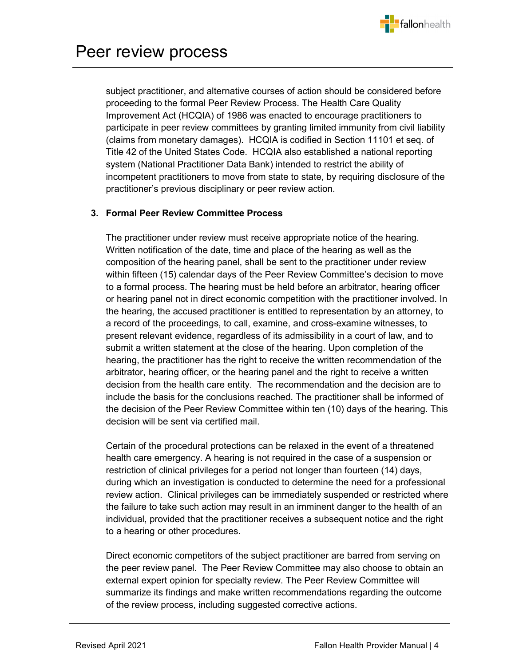

subject practitioner, and alternative courses of action should be considered before proceeding to the formal Peer Review Process. The Health Care Quality Improvement Act (HCQIA) of 1986 was enacted to encourage practitioners to participate in peer review committees by granting limited immunity from civil liability (claims from monetary damages). HCQIA is codified in Section 11101 et seq. of Title 42 of the United States Code. HCQIA also established a national reporting system (National Practitioner Data Bank) intended to restrict the ability of incompetent practitioners to move from state to state, by requiring disclosure of the practitioner's previous disciplinary or peer review action.

#### **3. Formal Peer Review Committee Process**

The practitioner under review must receive appropriate notice of the hearing. Written notification of the date, time and place of the hearing as well as the composition of the hearing panel, shall be sent to the practitioner under review within fifteen (15) calendar days of the Peer Review Committee's decision to move to a formal process. The hearing must be held before an arbitrator, hearing officer or hearing panel not in direct economic competition with the practitioner involved. In the hearing, the accused practitioner is entitled to representation by an attorney, to a record of the proceedings, to call, examine, and cross-examine witnesses, to present relevant evidence, regardless of its admissibility in a court of law, and to submit a written statement at the close of the hearing. Upon completion of the hearing, the practitioner has the right to receive the written recommendation of the arbitrator, hearing officer, or the hearing panel and the right to receive a written decision from the health care entity. The recommendation and the decision are to include the basis for the conclusions reached. The practitioner shall be informed of the decision of the Peer Review Committee within ten (10) days of the hearing. This decision will be sent via certified mail.

Certain of the procedural protections can be relaxed in the event of a threatened health care emergency. A hearing is not required in the case of a suspension or restriction of clinical privileges for a period not longer than fourteen (14) days, during which an investigation is conducted to determine the need for a professional review action. Clinical privileges can be immediately suspended or restricted where the failure to take such action may result in an imminent danger to the health of an individual, provided that the practitioner receives a subsequent notice and the right to a hearing or other procedures.

Direct economic competitors of the subject practitioner are barred from serving on the peer review panel. The Peer Review Committee may also choose to obtain an external expert opinion for specialty review. The Peer Review Committee will summarize its findings and make written recommendations regarding the outcome of the review process, including suggested corrective actions.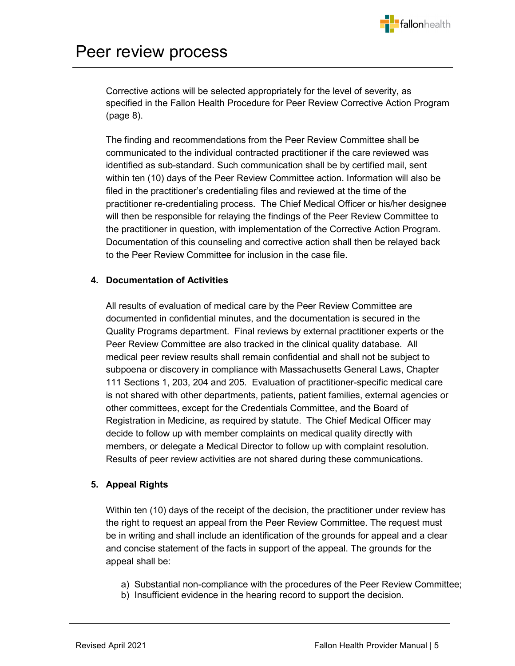

Corrective actions will be selected appropriately for the level of severity, as specified in the Fallon Health Procedure for Peer Review Corrective Action Program (page 8).

The finding and recommendations from the Peer Review Committee shall be communicated to the individual contracted practitioner if the care reviewed was identified as sub-standard. Such communication shall be by certified mail, sent within ten (10) days of the Peer Review Committee action. Information will also be filed in the practitioner's credentialing files and reviewed at the time of the practitioner re-credentialing process. The Chief Medical Officer or his/her designee will then be responsible for relaying the findings of the Peer Review Committee to the practitioner in question, with implementation of the Corrective Action Program. Documentation of this counseling and corrective action shall then be relayed back to the Peer Review Committee for inclusion in the case file.

#### **4. Documentation of Activities**

All results of evaluation of medical care by the Peer Review Committee are documented in confidential minutes, and the documentation is secured in the Quality Programs department. Final reviews by external practitioner experts or the Peer Review Committee are also tracked in the clinical quality database. All medical peer review results shall remain confidential and shall not be subject to subpoena or discovery in compliance with Massachusetts General Laws, Chapter 111 Sections 1, 203, 204 and 205. Evaluation of practitioner-specific medical care is not shared with other departments, patients, patient families, external agencies or other committees, except for the Credentials Committee, and the Board of Registration in Medicine, as required by statute. The Chief Medical Officer may decide to follow up with member complaints on medical quality directly with members, or delegate a Medical Director to follow up with complaint resolution. Results of peer review activities are not shared during these communications.

### **5. Appeal Rights**

Within ten (10) days of the receipt of the decision, the practitioner under review has the right to request an appeal from the Peer Review Committee. The request must be in writing and shall include an identification of the grounds for appeal and a clear and concise statement of the facts in support of the appeal. The grounds for the appeal shall be:

- a) Substantial non-compliance with the procedures of the Peer Review Committee;
- b) Insufficient evidence in the hearing record to support the decision.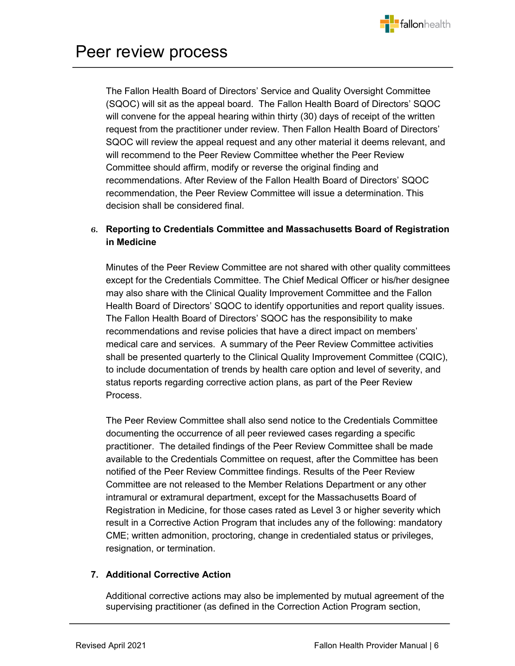

The Fallon Health Board of Directors' Service and Quality Oversight Committee (SQOC) will sit as the appeal board. The Fallon Health Board of Directors' SQOC will convene for the appeal hearing within thirty (30) days of receipt of the written request from the practitioner under review. Then Fallon Health Board of Directors' SQOC will review the appeal request and any other material it deems relevant, and will recommend to the Peer Review Committee whether the Peer Review Committee should affirm, modify or reverse the original finding and recommendations. After Review of the Fallon Health Board of Directors' SQOC recommendation, the Peer Review Committee will issue a determination. This decision shall be considered final.

# **6. Reporting to Credentials Committee and Massachusetts Board of Registration in Medicine**

Minutes of the Peer Review Committee are not shared with other quality committees except for the Credentials Committee. The Chief Medical Officer or his/her designee may also share with the Clinical Quality Improvement Committee and the Fallon Health Board of Directors' SQOC to identify opportunities and report quality issues. The Fallon Health Board of Directors' SQOC has the responsibility to make recommendations and revise policies that have a direct impact on members' medical care and services. A summary of the Peer Review Committee activities shall be presented quarterly to the Clinical Quality Improvement Committee (CQIC), to include documentation of trends by health care option and level of severity, and status reports regarding corrective action plans, as part of the Peer Review Process.

The Peer Review Committee shall also send notice to the Credentials Committee documenting the occurrence of all peer reviewed cases regarding a specific practitioner. The detailed findings of the Peer Review Committee shall be made available to the Credentials Committee on request, after the Committee has been notified of the Peer Review Committee findings. Results of the Peer Review Committee are not released to the Member Relations Department or any other intramural or extramural department, except for the Massachusetts Board of Registration in Medicine, for those cases rated as Level 3 or higher severity which result in a Corrective Action Program that includes any of the following: mandatory CME; written admonition, proctoring, change in credentialed status or privileges, resignation, or termination.

### **7. Additional Corrective Action**

Additional corrective actions may also be implemented by mutual agreement of the supervising practitioner (as defined in the Correction Action Program section,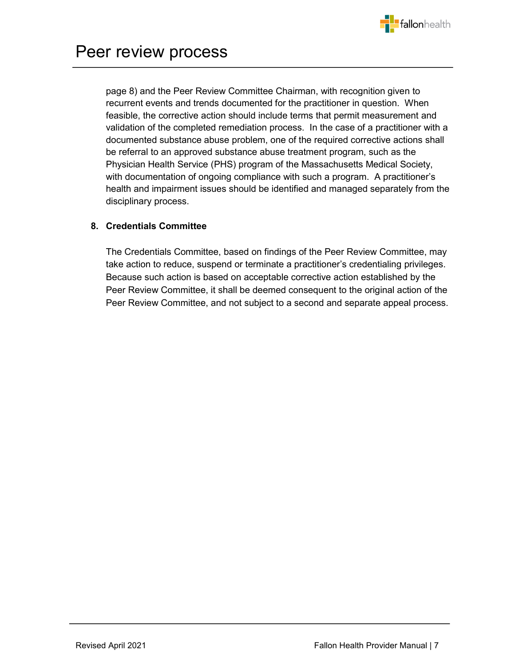

page 8) and the Peer Review Committee Chairman, with recognition given to recurrent events and trends documented for the practitioner in question. When feasible, the corrective action should include terms that permit measurement and validation of the completed remediation process. In the case of a practitioner with a documented substance abuse problem, one of the required corrective actions shall be referral to an approved substance abuse treatment program, such as the Physician Health Service (PHS) program of the Massachusetts Medical Society, with documentation of ongoing compliance with such a program. A practitioner's health and impairment issues should be identified and managed separately from the disciplinary process.

### **8. Credentials Committee**

The Credentials Committee, based on findings of the Peer Review Committee, may take action to reduce, suspend or terminate a practitioner's credentialing privileges. Because such action is based on acceptable corrective action established by the Peer Review Committee, it shall be deemed consequent to the original action of the Peer Review Committee, and not subject to a second and separate appeal process.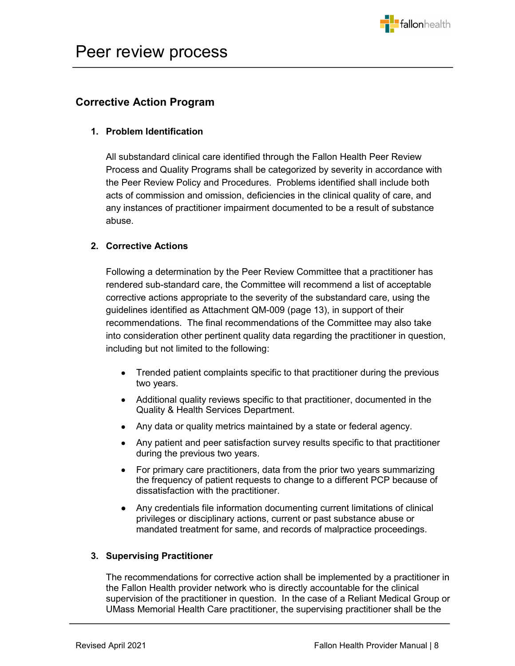

# <span id="page-7-0"></span>**Corrective Action Program**

### **1. Problem Identification**

All substandard clinical care identified through the Fallon Health Peer Review Process and Quality Programs shall be categorized by severity in accordance with the Peer Review Policy and Procedures. Problems identified shall include both acts of commission and omission, deficiencies in the clinical quality of care, and any instances of practitioner impairment documented to be a result of substance abuse.

# **2. Corrective Actions**

Following a determination by the Peer Review Committee that a practitioner has rendered sub-standard care, the Committee will recommend a list of acceptable corrective actions appropriate to the severity of the substandard care, using the guidelines identified as Attachment QM-009 (page 13), in support of their recommendations. The final recommendations of the Committee may also take into consideration other pertinent quality data regarding the practitioner in question, including but not limited to the following:

- Trended patient complaints specific to that practitioner during the previous two years.
- Additional quality reviews specific to that practitioner, documented in the Quality & Health Services Department.
- Any data or quality metrics maintained by a state or federal agency.
- Any patient and peer satisfaction survey results specific to that practitioner during the previous two years.
- For primary care practitioners, data from the prior two years summarizing the frequency of patient requests to change to a different PCP because of dissatisfaction with the practitioner.
- Any credentials file information documenting current limitations of clinical privileges or disciplinary actions, current or past substance abuse or mandated treatment for same, and records of malpractice proceedings.

### **3. Supervising Practitioner**

The recommendations for corrective action shall be implemented by a practitioner in the Fallon Health provider network who is directly accountable for the clinical supervision of the practitioner in question. In the case of a Reliant Medical Group or UMass Memorial Health Care practitioner, the supervising practitioner shall be the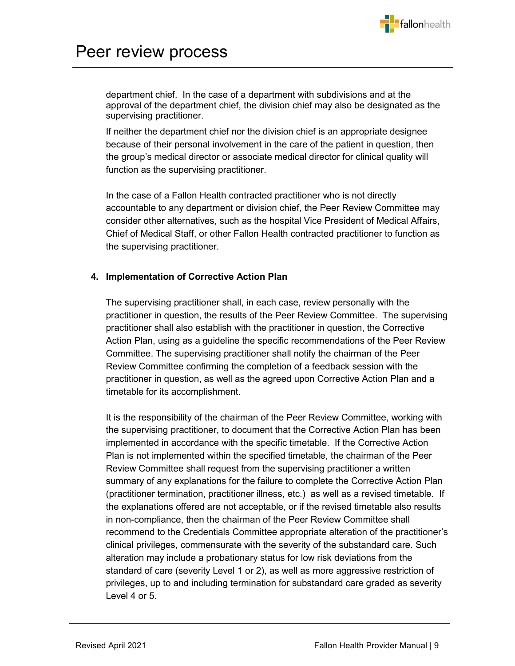

# Peer review process

department chief. In the case of a department with subdivisions and at the approval of the department chief, the division chief may also be designated as the supervising practitioner.

If neither the department chief nor the division chief is an appropriate designee because of their personal involvement in the care of the patient in question, then the group's medical director or associate medical director for clinical quality will function as the supervising practitioner.

In the case of a Fallon Health contracted practitioner who is not directly accountable to any department or division chief, the Peer Review Committee may consider other alternatives, such as the hospital Vice President of Medical Affairs, Chief of Medical Staff, or other Fallon Health contracted practitioner to function as the supervising practitioner.

### **4. Implementation of Corrective Action Plan**

The supervising practitioner shall, in each case, review personally with the practitioner in question, the results of the Peer Review Committee. The supervising practitioner shall also establish with the practitioner in question, the Corrective Action Plan, using as a guideline the specific recommendations of the Peer Review Committee. The supervising practitioner shall notify the chairman of the Peer Review Committee confirming the completion of a feedback session with the practitioner in question, as well as the agreed upon Corrective Action Plan and a timetable for its accomplishment.

It is the responsibility of the chairman of the Peer Review Committee, working with the supervising practitioner, to document that the Corrective Action Plan has been implemented in accordance with the specific timetable. If the Corrective Action Plan is not implemented within the specified timetable, the chairman of the Peer Review Committee shall request from the supervising practitioner a written summary of any explanations for the failure to complete the Corrective Action Plan (practitioner termination, practitioner illness, etc.) as well as a revised timetable. If the explanations offered are not acceptable, or if the revised timetable also results in non-compliance, then the chairman of the Peer Review Committee shall recommend to the Credentials Committee appropriate alteration of the practitioner's clinical privileges, commensurate with the severity of the substandard care. Such alteration may include a probationary status for low risk deviations from the standard of care (severity Level 1 or 2), as well as more aggressive restriction of privileges, up to and including termination for substandard care graded as severity Level 4 or 5.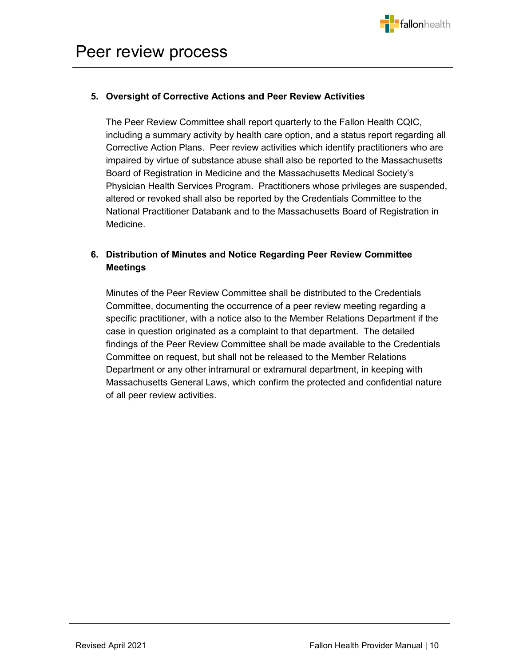

# **5. Oversight of Corrective Actions and Peer Review Activities**

The Peer Review Committee shall report quarterly to the Fallon Health CQIC, including a summary activity by health care option, and a status report regarding all Corrective Action Plans. Peer review activities which identify practitioners who are impaired by virtue of substance abuse shall also be reported to the Massachusetts Board of Registration in Medicine and the Massachusetts Medical Society's Physician Health Services Program. Practitioners whose privileges are suspended, altered or revoked shall also be reported by the Credentials Committee to the National Practitioner Databank and to the Massachusetts Board of Registration in Medicine.

# **6. Distribution of Minutes and Notice Regarding Peer Review Committee Meetings**

Minutes of the Peer Review Committee shall be distributed to the Credentials Committee, documenting the occurrence of a peer review meeting regarding a specific practitioner, with a notice also to the Member Relations Department if the case in question originated as a complaint to that department. The detailed findings of the Peer Review Committee shall be made available to the Credentials Committee on request, but shall not be released to the Member Relations Department or any other intramural or extramural department, in keeping with Massachusetts General Laws, which confirm the protected and confidential nature of all peer review activities.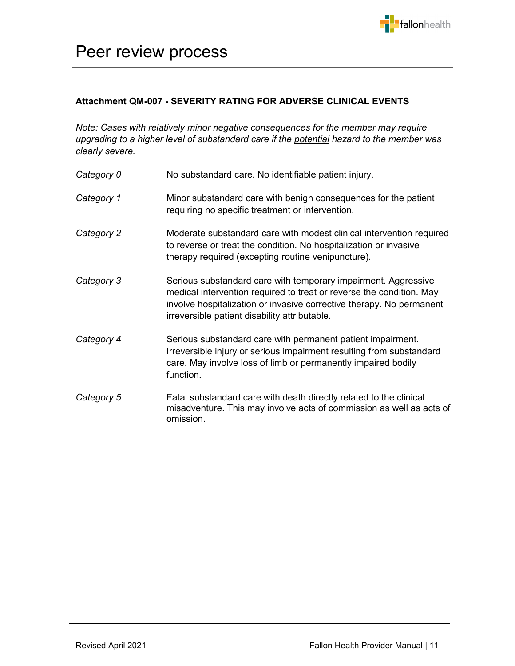

# Peer review process

## <span id="page-10-0"></span>**Attachment QM-007 - SEVERITY RATING FOR ADVERSE CLINICAL EVENTS**

*Note: Cases with relatively minor negative consequences for the member may require upgrading to a higher level of substandard care if the potential hazard to the member was clearly severe.*

| Category 0 | No substandard care. No identifiable patient injury.                                                                                                                                                                                                            |  |
|------------|-----------------------------------------------------------------------------------------------------------------------------------------------------------------------------------------------------------------------------------------------------------------|--|
| Category 1 | Minor substandard care with benign consequences for the patient<br>requiring no specific treatment or intervention.                                                                                                                                             |  |
| Category 2 | Moderate substandard care with modest clinical intervention required<br>to reverse or treat the condition. No hospitalization or invasive<br>therapy required (excepting routine venipuncture).                                                                 |  |
| Category 3 | Serious substandard care with temporary impairment. Aggressive<br>medical intervention required to treat or reverse the condition. May<br>involve hospitalization or invasive corrective therapy. No permanent<br>irreversible patient disability attributable. |  |
| Category 4 | Serious substandard care with permanent patient impairment.<br>Irreversible injury or serious impairment resulting from substandard<br>care. May involve loss of limb or permanently impaired bodily<br>function.                                               |  |
| Category 5 | Fatal substandard care with death directly related to the clinical<br>misadventure. This may involve acts of commission as well as acts of<br>omission.                                                                                                         |  |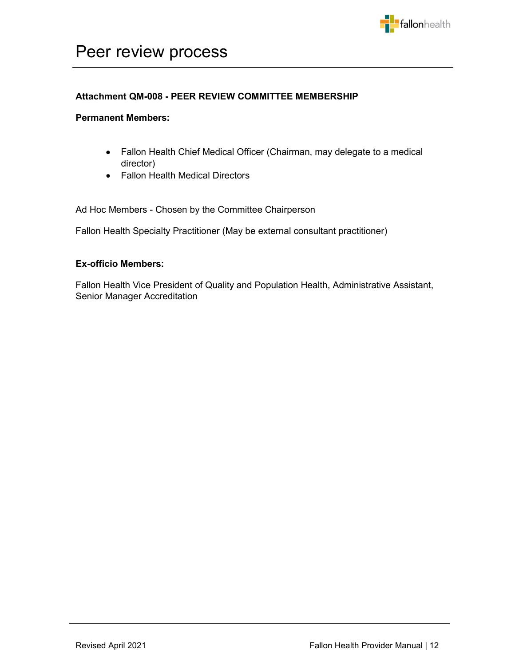

# Peer review process

#### <span id="page-11-0"></span>**Attachment QM-008 - PEER REVIEW COMMITTEE MEMBERSHIP**

#### **Permanent Members:**

- Fallon Health Chief Medical Officer (Chairman, may delegate to a medical director)
- Fallon Health Medical Directors

Ad Hoc Members - Chosen by the Committee Chairperson

Fallon Health Specialty Practitioner (May be external consultant practitioner)

#### **Ex-officio Members:**

Fallon Health Vice President of Quality and Population Health, Administrative Assistant, Senior Manager Accreditation